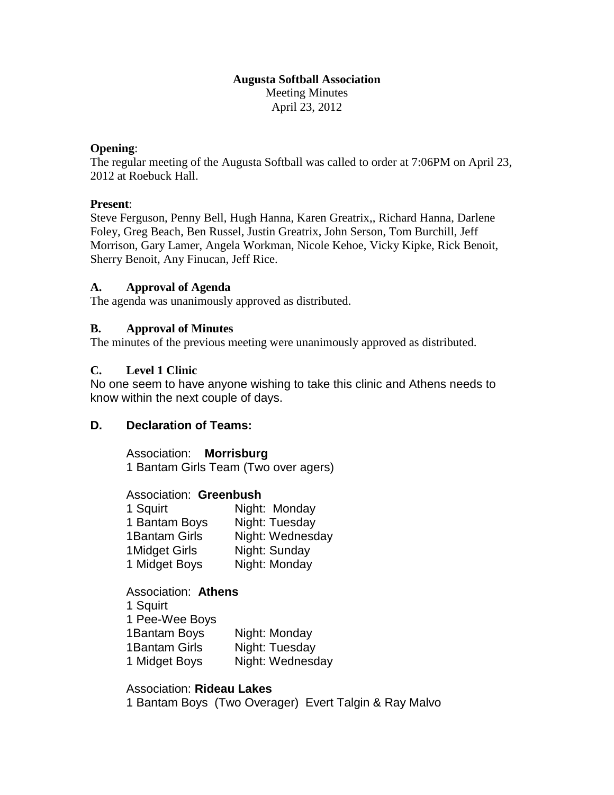#### **Augusta Softball Association** Meeting Minutes April 23, 2012

#### **Opening**:

The regular meeting of the Augusta Softball was called to order at 7:06PM on April 23, 2012 at Roebuck Hall.

## **Present**:

Steve Ferguson, Penny Bell, Hugh Hanna, Karen Greatrix,, Richard Hanna, Darlene Foley, Greg Beach, Ben Russel, Justin Greatrix, John Serson, Tom Burchill, Jeff Morrison, Gary Lamer, Angela Workman, Nicole Kehoe, Vicky Kipke, Rick Benoit, Sherry Benoit, Any Finucan, Jeff Rice.

## **A. Approval of Agenda**

The agenda was unanimously approved as distributed.

## **B. Approval of Minutes**

The minutes of the previous meeting were unanimously approved as distributed.

## **C. Level 1 Clinic**

No one seem to have anyone wishing to take this clinic and Athens needs to know within the next couple of days.

## **D. Declaration of Teams:**

Association: **Morrisburg** 1 Bantam Girls Team (Two over agers)

Association: **Greenbush**

| Night: Monday    |
|------------------|
| Night: Tuesday   |
| Night: Wednesday |
| Night: Sunday    |
| Night: Monday    |
|                  |

Association: **Athens** 1 Squirt 1 Pee-Wee Boys 1Bantam Boys Night: Monday 1 Bantam Girls Night: Tuesday 1 Midget Boys Night: Wednesday

## Association: **Rideau Lakes** 1 Bantam Boys (Two Overager) Evert Talgin & Ray Malvo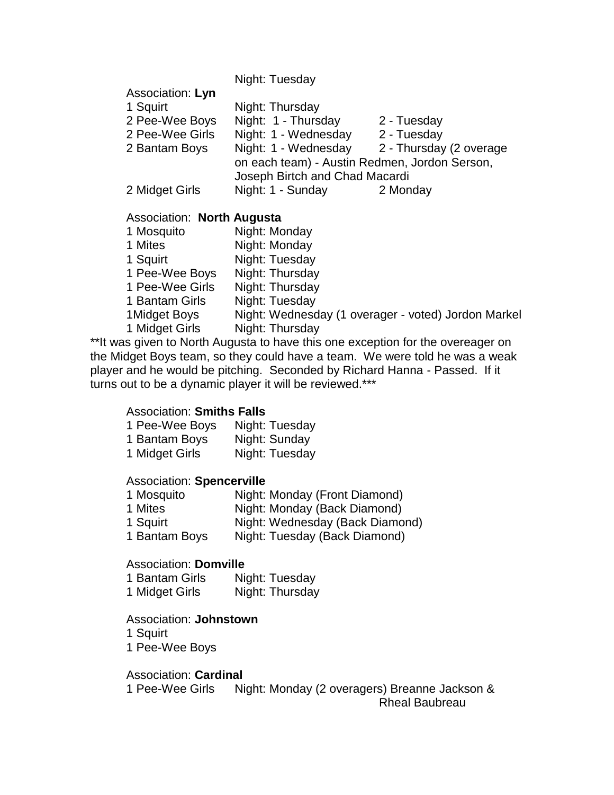|                  | Night: Tuesday                                |                         |
|------------------|-----------------------------------------------|-------------------------|
| Association: Lyn |                                               |                         |
| 1 Squirt         | Night: Thursday                               |                         |
| 2 Pee-Wee Boys   | Night: 1 - Thursday                           | 2 - Tuesday             |
| 2 Pee-Wee Girls  | Night: 1 - Wednesday                          | 2 - Tuesday             |
| 2 Bantam Boys    | Night: 1 - Wednesday                          | 2 - Thursday (2 overage |
|                  | on each team) - Austin Redmen, Jordon Serson, |                         |
|                  | Joseph Birtch and Chad Macardi                |                         |
| 2 Midget Girls   | Night: 1 - Sunday                             | 2 Monday                |
|                  |                                               |                         |

## Association: **North Augusta**

| 1 Mosquito      | Night: Monday                                       |
|-----------------|-----------------------------------------------------|
| 1 Mites         | Night: Monday                                       |
| 1 Squirt        | Night: Tuesday                                      |
| 1 Pee-Wee Boys  | Night: Thursday                                     |
| 1 Pee-Wee Girls | Night: Thursday                                     |
| 1 Bantam Girls  | Night: Tuesday                                      |
| 1Midget Boys    | Night: Wednesday (1 overager - voted) Jordon Markel |
| 1 Midget Girls  | Night: Thursday                                     |

\*\*It was given to North Augusta to have this one exception for the overeager on the Midget Boys team, so they could have a team. We were told he was a weak player and he would be pitching. Seconded by Richard Hanna - Passed. If it turns out to be a dynamic player it will be reviewed.\*\*\*

## Association: **Smiths Falls**

| 1 Pee-Wee Boys | Night: Tuesday |
|----------------|----------------|
| 1 Bantam Boys  | Night: Sunday  |
| 1 Midget Girls | Night: Tuesday |

## Association: **Spencerville**

| 1 Mosquito    | Night: Monday (Front Diamond)   |
|---------------|---------------------------------|
| 1 Mites       | Night: Monday (Back Diamond)    |
| 1 Squirt      | Night: Wednesday (Back Diamond) |
| 1 Bantam Boys | Night: Tuesday (Back Diamond)   |

## Association: **Domville**

| 1 Bantam Girls | Night: Tuesday  |
|----------------|-----------------|
| 1 Midget Girls | Night: Thursday |

## Association: **Johnstown**

- 1 Squirt
- 1 Pee-Wee Boys

## Association: **Cardinal**

1 Pee-Wee Girls Night: Monday (2 overagers) Breanne Jackson & Rheal Baubreau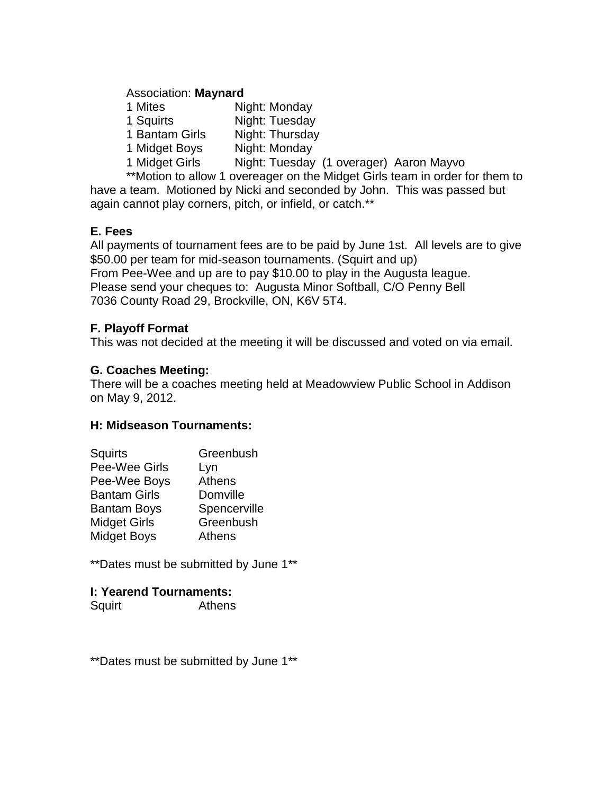## Association: **Maynard**

| 1 Mites        | Night: Monday                           |
|----------------|-----------------------------------------|
| 1 Squirts      | Night: Tuesday                          |
| 1 Bantam Girls | Night: Thursday                         |
| 1 Midget Boys  | Night: Monday                           |
| 1 Midget Girls | Night: Tuesday (1 overager) Aaron Mayvo |

\*\*Motion to allow 1 overeager on the Midget Girls team in order for them to have a team. Motioned by Nicki and seconded by John. This was passed but again cannot play corners, pitch, or infield, or catch.\*\*

# **E. Fees**

All payments of tournament fees are to be paid by June 1st. All levels are to give \$50.00 per team for mid-season tournaments. (Squirt and up) From Pee-Wee and up are to pay \$10.00 to play in the Augusta league. Please send your cheques to: Augusta Minor Softball, C/O Penny Bell 7036 County Road 29, Brockville, ON, K6V 5T4.

# **F. Playoff Format**

This was not decided at the meeting it will be discussed and voted on via email.

# **G. Coaches Meeting:**

There will be a coaches meeting held at Meadowview Public School in Addison on May 9, 2012.

# **H: Midseason Tournaments:**

| Squirts             | Greenbush     |
|---------------------|---------------|
| Pee-Wee Girls       | Lyn           |
| Pee-Wee Boys        | <b>Athens</b> |
| <b>Bantam Girls</b> | Domville      |
| <b>Bantam Boys</b>  | Spencerville  |
| <b>Midget Girls</b> | Greenbush     |
| <b>Midget Boys</b>  | <b>Athens</b> |
|                     |               |

\*\*Dates must be submitted by June 1\*\*

# **I: Yearend Tournaments:**

Squirt Athens

\*\*Dates must be submitted by June 1\*\*